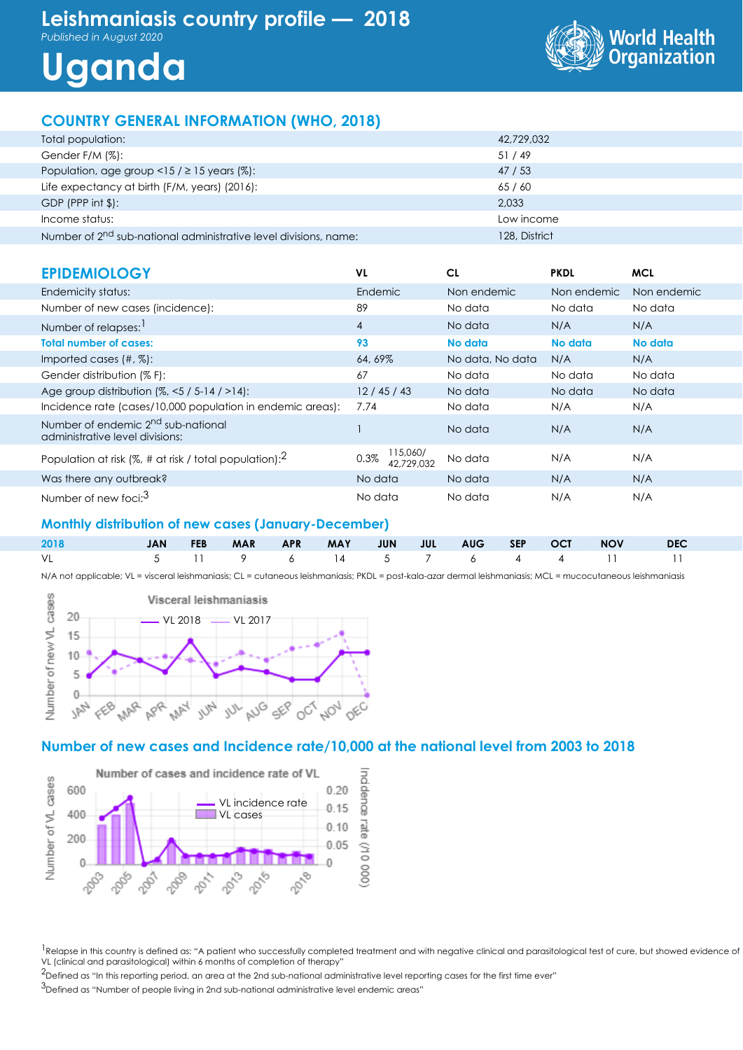# **Leishmaniasis country profile — 2018**

*Published in August 2020*

# **Uganda**



# **COUNTRY GENERAL INFORMATION (WHO, 2018)**

| Total population:                                                            | 42,729,032    |
|------------------------------------------------------------------------------|---------------|
| Gender F/M (%):                                                              | 51/49         |
| Population, age group <15 / $\geq$ 15 years (%):                             | 47 / 53       |
| Life expectancy at birth (F/M, years) (2016):                                | 65/60         |
| GDP (PPP int $\frac{1}{2}$ ):                                                | 2,033         |
| Income status:                                                               | Low income    |
| Number of 2 <sup>nd</sup> sub-national administrative level divisions, name: | 128, District |

| <b>EPIDEMIOLOGY</b>                                                               | VL                             | CL               | <b>PKDL</b> | <b>MCL</b>  |
|-----------------------------------------------------------------------------------|--------------------------------|------------------|-------------|-------------|
| Endemicity status:                                                                | Endemic                        | Non endemic      | Non endemic | Non endemic |
| Number of new cases (incidence):                                                  | 89                             | No data          | No data     | No data     |
| Number of relapses: 1                                                             | $\overline{4}$                 | No data          | N/A         | N/A         |
| <b>Total number of cases:</b>                                                     | 93                             | No data          | No data     | No data     |
| Imported cases $(\#, \%)$ :                                                       | 64, 69%                        | No data, No data | N/A         | N/A         |
| Gender distribution (% F):                                                        | 67                             | No data          | No data     | No data     |
| Age group distribution $(%, < 5 / 5 - 14 / > 14)$ :                               | 12/45/43                       | No data          | No data     | No data     |
| Incidence rate (cases/10,000 population in endemic areas):                        | 7.74                           | No data          | N/A         | N/A         |
| Number of endemic 2 <sup>nd</sup> sub-national<br>administrative level divisions: |                                | No data          | N/A         | N/A         |
| Population at risk (%, # at risk / total population): $^2$                        | 115,060/<br>0.3%<br>42,729,032 | No data          | N/A         | N/A         |
| Was there any outbreak?                                                           | No data                        | No data          | N/A         | N/A         |
| Number of new foci: <sup>3</sup>                                                  | No data                        | No data          | N/A         | N/A         |

#### **Monthly distribution of new cases (January-December)**

| 2018<br><b>START START START START START START START START START START START START START START START START START START ST</b> |  |  |  |  |  |                             |  |
|-------------------------------------------------------------------------------------------------------------------------------|--|--|--|--|--|-----------------------------|--|
| VL                                                                                                                            |  |  |  |  |  | 5 11 9 6 14 5 7 6 4 4 11 11 |  |

N/A not applicable; VL = visceral leishmaniasis; CL = cutaneous leishmaniasis; PKDL = post-kala-azar dermal leishmaniasis; MCL = mucocutaneous leishmaniasis



#### **Number of new cases and Incidence rate/10,000 at the national level from 2003 to 2018**



<sup>1</sup>Relapse in this country is defined as: "A patient who successfully completed treatment and with negative clinical and parasitological test of cure, but showed evidence of VL (clinical and parasitological) within 6 months of completion of therapy"

 $2$ Defined as "In this reporting period, an area at the 2nd sub-national administrative level reporting cases for the first time ever"

3Defined as "Number of people living in 2nd sub-national administrative level endemic areas"